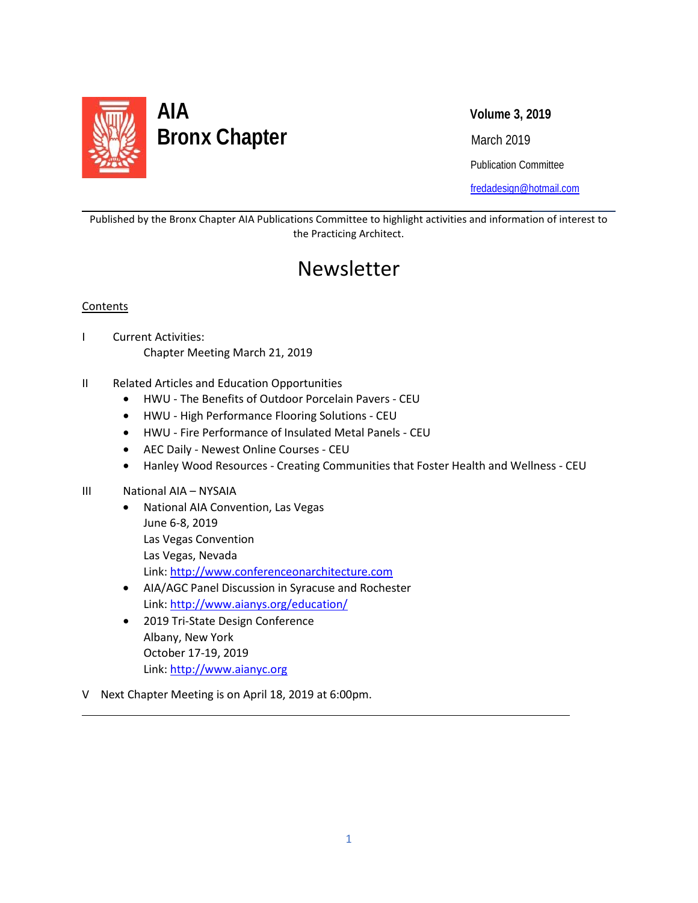

Publication Committee

[fredadesign@hotmail.com](mailto:fredadesign@hotmail.com)

Published by the Bronx Chapter AIA Publications Committee to highlight activities and information of interest to the Practicing Architect.

## Newsletter

## **Contents**

l

L

- I Current Activities: Chapter Meeting March 21, 2019
- II Related Articles and Education Opportunities
	- HWU The Benefits of Outdoor Porcelain Pavers CEU
	- HWU High Performance Flooring Solutions CEU
	- HWU Fire Performance of Insulated Metal Panels CEU
	- AEC Daily Newest Online Courses CEU
	- Hanley Wood Resources Creating Communities that Foster Health and Wellness CEU

#### III National AIA – NYSAIA

- National AIA Convention, Las Vegas June 6-8, 2019 Las Vegas Convention Las Vegas, Nevada Link: [http://www.conferenceonarchitecture.com](http://www.conferenceonarchitecture.com/)
- AIA/AGC Panel Discussion in Syracuse and Rochester Link:<http://www.aianys.org/education/>
- 2019 Tri-State Design Conference Albany, New York October 17-19, 2019 Link: [http://www.aianyc.org](http://www.aianyc.org/)
- V Next Chapter Meeting is on April 18, 2019 at 6:00pm.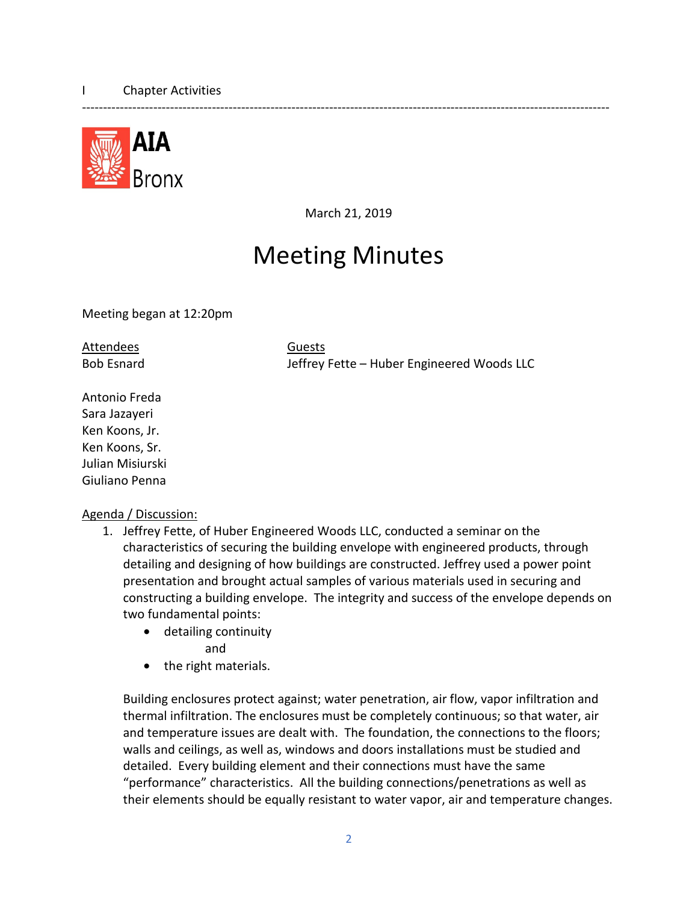

March 21, 2019

------------------------------------------------------------------------------------------------------------------------------

# Meeting Minutes

Meeting began at 12:20pm

Attendees Guests

Bob Esnard Jeffrey Fette – Huber Engineered Woods LLC

Antonio Freda Sara Jazayeri Ken Koons, Jr. Ken Koons, Sr. Julian Misiurski Giuliano Penna

## Agenda / Discussion:

- 1. Jeffrey Fette, of Huber Engineered Woods LLC, conducted a seminar on the characteristics of securing the building envelope with engineered products, through detailing and designing of how buildings are constructed. Jeffrey used a power point presentation and brought actual samples of various materials used in securing and constructing a building envelope. The integrity and success of the envelope depends on two fundamental points:
	- detailing continuity and
	- the right materials.

Building enclosures protect against; water penetration, air flow, vapor infiltration and thermal infiltration. The enclosures must be completely continuous; so that water, air and temperature issues are dealt with. The foundation, the connections to the floors; walls and ceilings, as well as, windows and doors installations must be studied and detailed. Every building element and their connections must have the same "performance" characteristics. All the building connections/penetrations as well as their elements should be equally resistant to water vapor, air and temperature changes.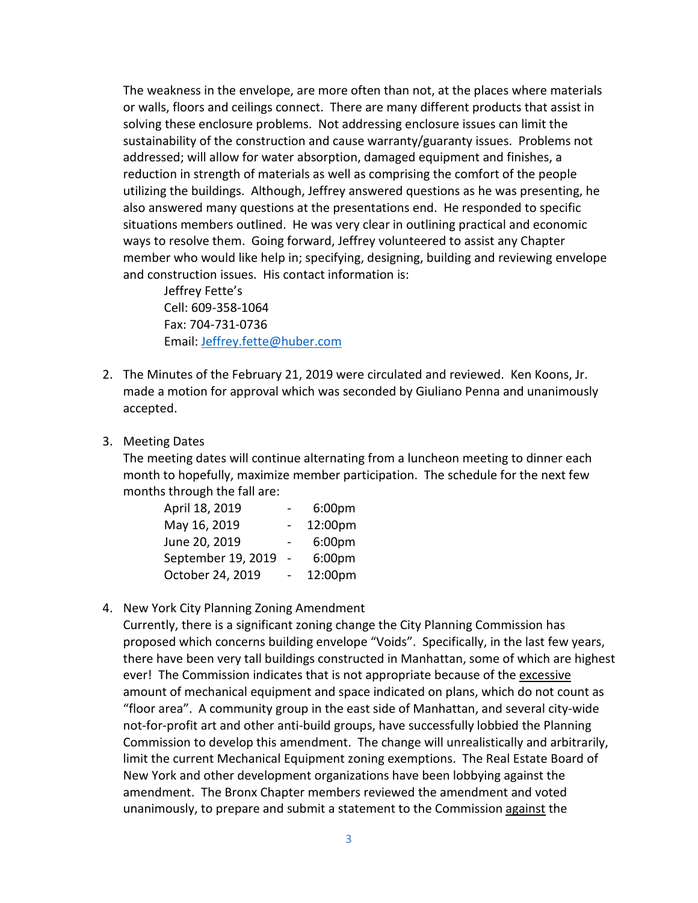The weakness in the envelope, are more often than not, at the places where materials or walls, floors and ceilings connect. There are many different products that assist in solving these enclosure problems. Not addressing enclosure issues can limit the sustainability of the construction and cause warranty/guaranty issues. Problems not addressed; will allow for water absorption, damaged equipment and finishes, a reduction in strength of materials as well as comprising the comfort of the people utilizing the buildings. Although, Jeffrey answered questions as he was presenting, he also answered many questions at the presentations end. He responded to specific situations members outlined. He was very clear in outlining practical and economic ways to resolve them. Going forward, Jeffrey volunteered to assist any Chapter member who would like help in; specifying, designing, building and reviewing envelope and construction issues. His contact information is:

Jeffrey Fette's Cell: 609-358-1064 Fax: 704-731-0736 Email: [Jeffrey.fette@huber.com](mailto:Jeffrey.fette@huber.com)

- 2. The Minutes of the February 21, 2019 were circulated and reviewed. Ken Koons, Jr. made a motion for approval which was seconded by Giuliano Penna and unanimously accepted.
- 3. Meeting Dates

The meeting dates will continue alternating from a luncheon meeting to dinner each month to hopefully, maximize member participation. The schedule for the next few months through the fall are:

| April 18, 2019     | 6:00 <sub>pm</sub> |
|--------------------|--------------------|
| May 16, 2019       | 12:00pm            |
| June 20, 2019      | 6:00 <sub>pm</sub> |
| September 19, 2019 | 6:00 <sub>pm</sub> |
| October 24, 2019   | 12:00pm            |

4. New York City Planning Zoning Amendment

Currently, there is a significant zoning change the City Planning Commission has proposed which concerns building envelope "Voids". Specifically, in the last few years, there have been very tall buildings constructed in Manhattan, some of which are highest ever! The Commission indicates that is not appropriate because of the excessive amount of mechanical equipment and space indicated on plans, which do not count as "floor area". A community group in the east side of Manhattan, and several city-wide not-for-profit art and other anti-build groups, have successfully lobbied the Planning Commission to develop this amendment. The change will unrealistically and arbitrarily, limit the current Mechanical Equipment zoning exemptions. The Real Estate Board of New York and other development organizations have been lobbying against the amendment. The Bronx Chapter members reviewed the amendment and voted unanimously, to prepare and submit a statement to the Commission against the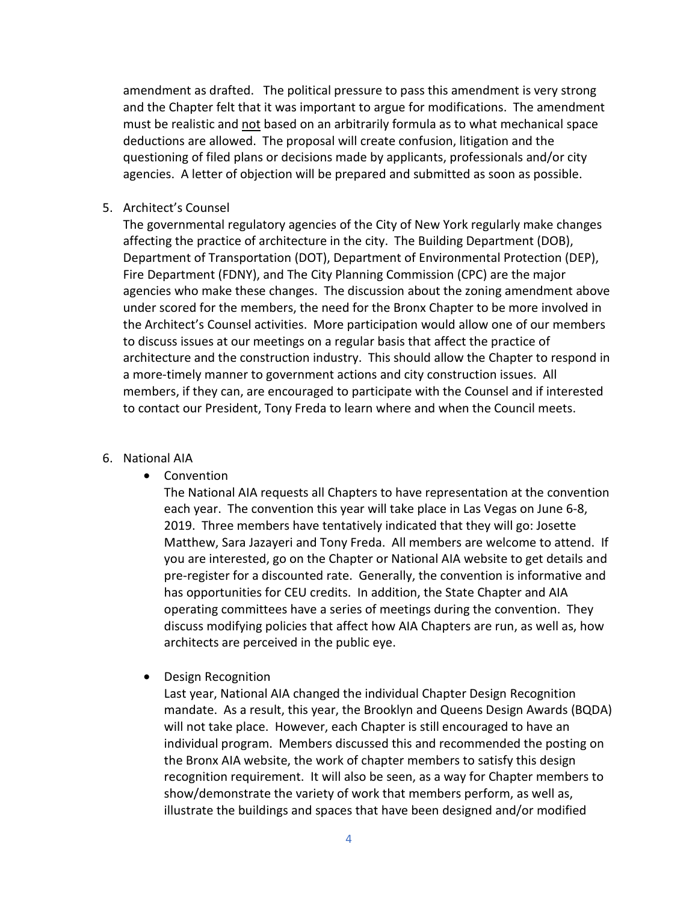amendment as drafted. The political pressure to pass this amendment is very strong and the Chapter felt that it was important to argue for modifications. The amendment must be realistic and not based on an arbitrarily formula as to what mechanical space deductions are allowed. The proposal will create confusion, litigation and the questioning of filed plans or decisions made by applicants, professionals and/or city agencies. A letter of objection will be prepared and submitted as soon as possible.

5. Architect's Counsel

The governmental regulatory agencies of the City of New York regularly make changes affecting the practice of architecture in the city. The Building Department (DOB), Department of Transportation (DOT), Department of Environmental Protection (DEP), Fire Department (FDNY), and The City Planning Commission (CPC) are the major agencies who make these changes. The discussion about the zoning amendment above under scored for the members, the need for the Bronx Chapter to be more involved in the Architect's Counsel activities. More participation would allow one of our members to discuss issues at our meetings on a regular basis that affect the practice of architecture and the construction industry. This should allow the Chapter to respond in a more-timely manner to government actions and city construction issues. All members, if they can, are encouraged to participate with the Counsel and if interested to contact our President, Tony Freda to learn where and when the Council meets.

#### 6. National AIA

• Convention

The National AIA requests all Chapters to have representation at the convention each year. The convention this year will take place in Las Vegas on June 6-8, 2019. Three members have tentatively indicated that they will go: Josette Matthew, Sara Jazayeri and Tony Freda. All members are welcome to attend. If you are interested, go on the Chapter or National AIA website to get details and pre-register for a discounted rate. Generally, the convention is informative and has opportunities for CEU credits. In addition, the State Chapter and AIA operating committees have a series of meetings during the convention. They discuss modifying policies that affect how AIA Chapters are run, as well as, how architects are perceived in the public eye.

• Design Recognition

Last year, National AIA changed the individual Chapter Design Recognition mandate. As a result, this year, the Brooklyn and Queens Design Awards (BQDA) will not take place. However, each Chapter is still encouraged to have an individual program. Members discussed this and recommended the posting on the Bronx AIA website, the work of chapter members to satisfy this design recognition requirement. It will also be seen, as a way for Chapter members to show/demonstrate the variety of work that members perform, as well as, illustrate the buildings and spaces that have been designed and/or modified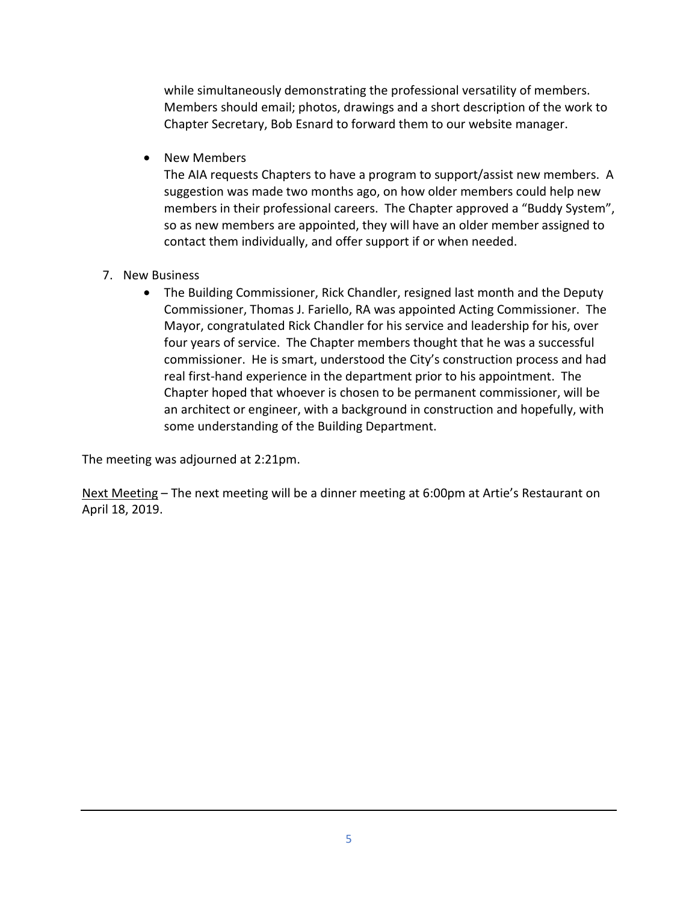while simultaneously demonstrating the professional versatility of members. Members should email; photos, drawings and a short description of the work to Chapter Secretary, Bob Esnard to forward them to our website manager.

• New Members

The AIA requests Chapters to have a program to support/assist new members. A suggestion was made two months ago, on how older members could help new members in their professional careers. The Chapter approved a "Buddy System", so as new members are appointed, they will have an older member assigned to contact them individually, and offer support if or when needed.

- 7. New Business
	- The Building Commissioner, Rick Chandler, resigned last month and the Deputy Commissioner, Thomas J. Fariello, RA was appointed Acting Commissioner. The Mayor, congratulated Rick Chandler for his service and leadership for his, over four years of service. The Chapter members thought that he was a successful commissioner. He is smart, understood the City's construction process and had real first-hand experience in the department prior to his appointment. The Chapter hoped that whoever is chosen to be permanent commissioner, will be an architect or engineer, with a background in construction and hopefully, with some understanding of the Building Department.

The meeting was adjourned at 2:21pm.

Next Meeting – The next meeting will be a dinner meeting at 6:00pm at Artie's Restaurant on April 18, 2019.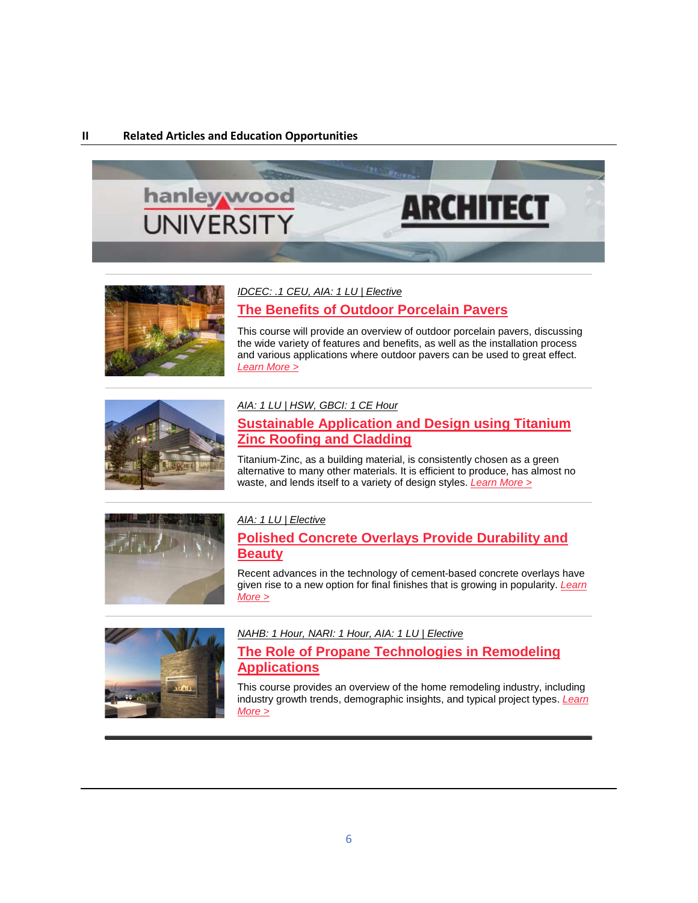#### **II Related Articles and Education Opportunities**





*[IDCEC: .1 CEU, AIA: 1 LU | Elective](https://linkprotect.cudasvc.com/url?a=http%3a%2f%2fclick1.communication.hanleywood.com%2fnqrcrfgkqypnjptfnthpfngppgnpyjtcbqdqmbryqtry_dcgcpsgftcchmhdmgg.html%3fa%3dbesnard%2540dzco.com&c=E,1,OokcuOxijV5yYFXrwV9mXSS7n00Wp-O5ubKeJxDhwhwoLXQJwaGmWEVr6m645i-UE6x3EyKLC8KPFzm06UjJhxTM4-VtFs5O8k3g1UN2wLpigwtyexhI&typo=1)*

## **[The Benefits of Outdoor Porcelain Pavers](https://linkprotect.cudasvc.com/url?a=http%3a%2f%2fclick1.communication.hanleywood.com%2fuhfzpwvchqfsmfgwsgbfwsvffvsfqmgzjhnhkjpqhgpw_dcgcpsgftcchmhdmgg.html%3fa%3dbesnard%2540dzco.com&c=E,1,KoZHO0Qh-w-2xdEviq9Yrm4ewtjOc61SYro9P0t7dS8DFdoAAeuRE18ZPejeIynikZ8mWI0psbwjNL1UjUttlraIV-iZgs6Hm0Bw1JmQplS3ng,,&typo=1)**

This course will provide an overview of outdoor porcelain pavers, discussing the wide variety of features and benefits, as well as the installation process and various applications where outdoor pavers can be used to great effect. *[Learn More >](https://linkprotect.cudasvc.com/url?a=http%3a%2f%2fclick1.communication.hanleywood.com%2fgcrjlgsmcytdntkgdkqtgdsttsdtynkjfcrcpflycklk_dcgcpsgftcchmhdmgg.html%3fa%3dbesnard%2540dzco.com&c=E,1,LFMDf-kZnKWFT4wRpTXZXv7sx6PEf5qdrOpoOLexP_m4wFW1D2VTsW5cK3imr212ixgW0Rta_UcQUrMIWXAfPSoc3z23sQcSLrssP3Rb5EH-jGypuZI,&typo=1)*



#### *[AIA: 1 LU | HSW, GBCI: 1 CE Hour](https://linkprotect.cudasvc.com/url?a=http%3a%2f%2fclick1.communication.hanleywood.com%2frcnhtnylcrvpwvknpkfvnpyvvypvrwkhscgcbstrcktv_dcgcpsgftcchmhdmgg.html%3fa%3dbesnard%2540dzco.com&c=E,1,fF9nbZgbZjnbuxpXibBOkZeqGd2UII5j9hiXPdxlelPOcLYfhgHl9pCuiuqEpa2oNtLkkRhCeNmKwe3NZNId-UVJlvV43XgOzxdu5-r8cSMNVKZA4Mmm9w,,&typo=1)*

## **[Sustainable Application and Design using Titanium](https://linkprotect.cudasvc.com/url?a=http%3a%2f%2fclick1.communication.hanleywood.com%2fiyhtnvpcyhdwzdbvwbkdvwpddpwdhzbtrymyqrnhybnn_dcgcpsgftcchmhdmgg.html%3fa%3dbesnard%2540dzco.com&c=E,1,3zcAetGb3hAb0pU2GECpd3yZYYQtgfMV1k8zRWAYECJ6SMt594duOxb6L-4RiS98C-r7RAE4bGUwBp8IPAXaFqmTFGakPylyXzRID_aHq-T4dICsuFyBBNh1&typo=1)  [Zinc Roofing and Cladding](https://linkprotect.cudasvc.com/url?a=http%3a%2f%2fclick1.communication.hanleywood.com%2fiyhtnvpcyhdwzdbvwbkdvwpddpwdhzbtrymyqrnhybnn_dcgcpsgftcchmhdmgg.html%3fa%3dbesnard%2540dzco.com&c=E,1,3zcAetGb3hAb0pU2GECpd3yZYYQtgfMV1k8zRWAYECJ6SMt594duOxb6L-4RiS98C-r7RAE4bGUwBp8IPAXaFqmTFGakPylyXzRID_aHq-T4dICsuFyBBNh1&typo=1)**

Titanium-Zinc, as a building material, is consistently chosen as a green alternative to many other materials. It is efficient to produce, has almost no waste, and lends itself to a variety of design styles. *[Learn More >](https://linkprotect.cudasvc.com/url?a=http%3a%2f%2fclick1.communication.hanleywood.com%2fammvtdrlmkpnspydnyzpdnrpprnpksyvcmhmgctkmyts_dcgcpsgftcchmhdmgg.html%3fa%3dbesnard%2540dzco.com&c=E,1,ZlWaRaSb8XFCBIQ8Azjct4jhWIthTdoe0aD6ifxZ5EIB4TUtMTUVLqn9GzbiatILWRG93VN4kEGR5nUj4MXOlJ-FP09wLtCDA9YzjpEsh1NNeu3jfqI,&typo=1)*



#### *[AIA: 1 LU | Elective](https://linkprotect.cudasvc.com/url?a=http%3a%2f%2fclick1.communication.hanleywood.com%2fommcrjsqtzldmlkjdkgljdsllsdlzmkcptwtnprztkmf_dcgcpsgftcchmhdmgg.html%3fa%3dbesnard%2540dzco.com&c=E,1,m7vUWt7oB9F2cfNC0t2c2PElvxLg0vjEMv0LGaqSnUj0eZae4lhc4NnrtWwMa7wbLup3RgOty2ixSp0PLCfne1WvLtiqV2tvraObOhXvibJEEN-pQ2o,&typo=1)*

## **[Polished Concrete Overlays Provide Durability and](https://linkprotect.cudasvc.com/url?a=http%3a%2f%2fclick1.communication.hanleywood.com%2flqwfwgshmknrqndgrdpngrsnnsrnkqdflmjmclwkmdqm_dcgcpsgftcchmhdmgg.html%3fa%3dbesnard%2540dzco.com&c=E,1,fcsFZk-pyoP59IHPaL4-_ex4a2fIgd8vrKRY1XiXUzk2DZnLyUEmzWhQweAY2FYMuFQKtLWrKUCy673aKJVyBMPjpoP5_ZqbZXGxS4LrXk7uC9gx&typo=1)  [Beauty](https://linkprotect.cudasvc.com/url?a=http%3a%2f%2fclick1.communication.hanleywood.com%2flqwfwgshmknrqndgrdpngrsnnsrnkqdflmjmclwkmdqm_dcgcpsgftcchmhdmgg.html%3fa%3dbesnard%2540dzco.com&c=E,1,fcsFZk-pyoP59IHPaL4-_ex4a2fIgd8vrKRY1XiXUzk2DZnLyUEmzWhQweAY2FYMuFQKtLWrKUCy673aKJVyBMPjpoP5_ZqbZXGxS4LrXk7uC9gx&typo=1)**

Recent advances in the technology of cement-based concrete overlays have given rise to a new option for final finishes that is growing in popularity. *[Learn](https://linkprotect.cudasvc.com/url?a=http%3a%2f%2fclick1.communication.hanleywood.com%2fizdtnvpcyhdwzdbvwbkdvwpddpwdhzbtrymyqrnhybzh_dcgcpsgftcchmhdmgg.html%3fa%3dbesnard%2540dzco.com&c=E,1,XIA2jx6tgqu_Ek2GExTbnbjHgSTlHfD0dr9XT4lzEvUHmI9hGkrjab351LU5OM1Wo-kTCftc1PcFGvosMZvqXIeoQGVrSiRGyz5CuwNIVB0wkc3NrwKUw1qSYA,,&typo=1)  [More >](https://linkprotect.cudasvc.com/url?a=http%3a%2f%2fclick1.communication.hanleywood.com%2fizdtnvpcyhdwzdbvwbkdvwpddpwdhzbtrymyqrnhybzh_dcgcpsgftcchmhdmgg.html%3fa%3dbesnard%2540dzco.com&c=E,1,XIA2jx6tgqu_Ek2GExTbnbjHgSTlHfD0dr9XT4lzEvUHmI9hGkrjab351LU5OM1Wo-kTCftc1PcFGvosMZvqXIeoQGVrSiRGyz5CuwNIVB0wkc3NrwKUw1qSYA,,&typo=1)*



*[NAHB: 1 Hour, NARI: 1 Hour, AIA: 1 LU | Elective](https://linkprotect.cudasvc.com/url?a=http%3a%2f%2fclick1.communication.hanleywood.com%2flqdfwgshmknrqndgrdpngrsnnsrnkqdflmjmclwkmdqd_dcgcpsgftcchmhdmgg.html%3fa%3dbesnard%2540dzco.com&c=E,1,hyMgkPjVwiUS5rOLzuDuD6U-x79fjW1VCAN6hJTCBpg46R-l04uHPvQd4d2i3pdGtbn66oLUHHfEXRwHFYFuzdZIES8IqzMcaF2oExipcii9wSViPw,,&typo=1)*

## **[The Role of Propane Technologies in Remodeling](https://linkprotect.cudasvc.com/url?a=http%3a%2f%2fclick1.communication.hanleywood.com%2ftjhdmhsplzckjcbhkbfchksccskczjbdtlvlrtmzlbjv_dcgcpsgftcchmhdmgg.html%3fa%3dbesnard%2540dzco.com&c=E,1,U15YSiTrVgO8fo6SU75umhWugiej_-jOwIC8AtMNSoMCC2Ya7HNijn4FjD1GwNO1CcuFmpEIRDkHkPCCmgxEngfN05WHN9U6POxt6raXNJHyGF0fsA,,&typo=1)  [Applications](https://linkprotect.cudasvc.com/url?a=http%3a%2f%2fclick1.communication.hanleywood.com%2ftjhdmhsplzckjcbhkbfchksccskczjbdtlvlrtmzlbjv_dcgcpsgftcchmhdmgg.html%3fa%3dbesnard%2540dzco.com&c=E,1,U15YSiTrVgO8fo6SU75umhWugiej_-jOwIC8AtMNSoMCC2Ya7HNijn4FjD1GwNO1CcuFmpEIRDkHkPCCmgxEngfN05WHN9U6POxt6raXNJHyGF0fsA,,&typo=1)**

This course provides an overview of the home remodeling industry, including industry growth trends, demographic insights, and typical project types. *[Learn](https://linkprotect.cudasvc.com/url?a=http%3a%2f%2fclick1.communication.hanleywood.com%2fnjycrfgkqypnjptfnthpfngppgnpyjtcbqdqmbryqtjp_dcgcpsgftcchmhdmgg.html%3fa%3dbesnard%2540dzco.com&c=E,1,sjKD7czFFgpWAyxtZ0YnHpytAsRvYhw1hQFqoO5RSxp3rLlLUe_m8i-j9YuDLBynYiHAhZwWCR5AR9N25Zee3nhcbSXzaOcaOlRBKcQrc2iVUjzthsZVXup8&typo=1)  [More >](https://linkprotect.cudasvc.com/url?a=http%3a%2f%2fclick1.communication.hanleywood.com%2fnjycrfgkqypnjptfnthpfngppgnpyjtcbqdqmbryqtjp_dcgcpsgftcchmhdmgg.html%3fa%3dbesnard%2540dzco.com&c=E,1,sjKD7czFFgpWAyxtZ0YnHpytAsRvYhw1hQFqoO5RSxp3rLlLUe_m8i-j9YuDLBynYiHAhZwWCR5AR9N25Zee3nhcbSXzaOcaOlRBKcQrc2iVUjzthsZVXup8&typo=1)*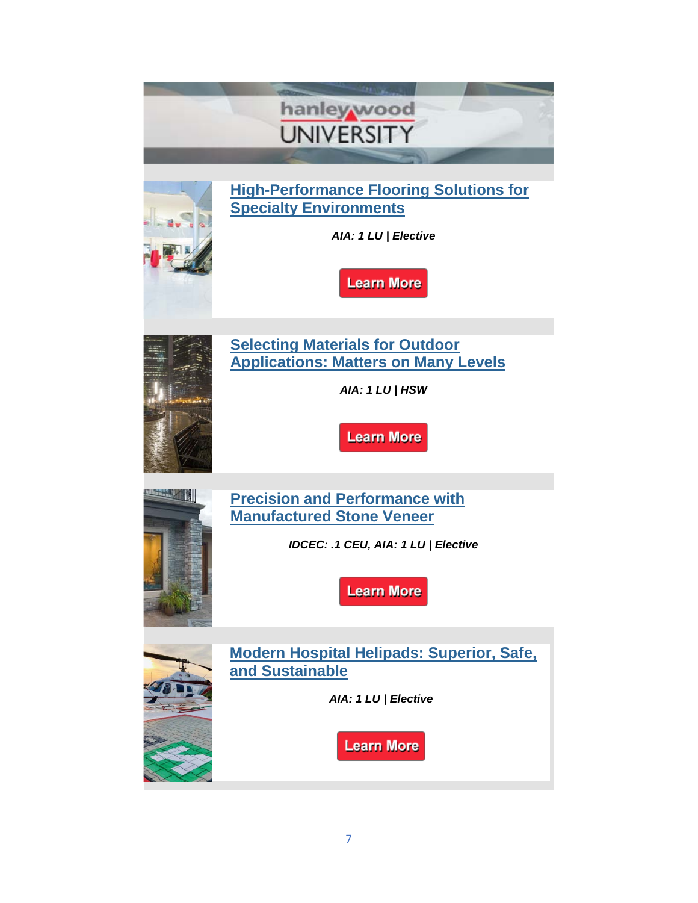|     | hanleywood<br><b>UNIVERSITY</b>                                                                                                       |
|-----|---------------------------------------------------------------------------------------------------------------------------------------|
|     | <b>High-Performance Flooring Solutions for</b><br><b>Specialty Environments</b><br>AIA: 1 LU   Elective<br><b>Learn More</b>          |
|     | <b>Selecting Materials for Outdoor</b><br><b>Applications: Matters on Many Levels</b><br>AIA: 1 LU   HSW<br><b>Learn More</b>         |
| IИI | <b>Precision and Performance with</b><br><b>Manufactured Stone Veneer</b><br>IDCEC: .1 CEU, AIA: 1 LU   Elective<br><b>Learn More</b> |
|     | <b>Modern Hospital Helipads: Superior, Safe,</b><br>and Sustainable<br>AIA: 1 LU   Elective<br><b>Learn More</b>                      |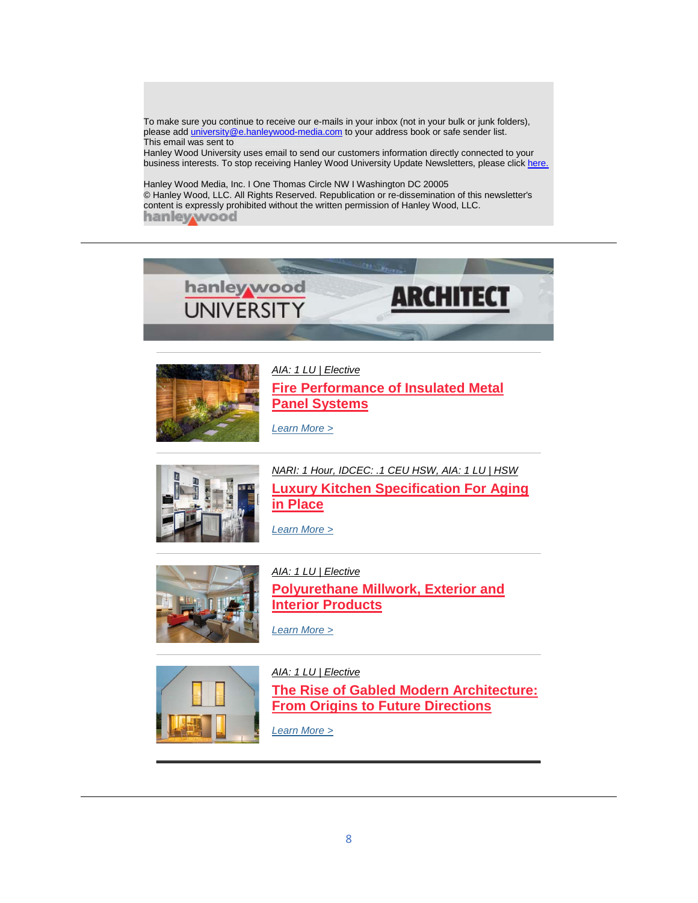To make sure you continue to receive our e-mails in your inbox (not in your bulk or junk folders), please ad[d university@e.hanleywood-media.com](mailto:university@e.hanleywood-media.com) to your address book or safe sender list. This email was sent to

Hanley Wood University uses email to send our customers information directly connected to your business interests. To stop receiving Hanley Wood University Update Newsletters, please click [here.](https://linkprotect.cudasvc.com/url?a=http%3a%2f%2fclick1.communication.hanleywood.com%2fsmrzsvwpbrktlkcvtcfkvtwkkwtkrlczgbmbhgsblblv_lhmjkqzrmjjgkwdzzz.html&c=E,1,oOHC4OTQBh54VWsOxx3tVFbWj6u1CvxVDGHC-bgvgytF_mNEJ7WiN-Mxhk90P-5izU3MPiQ8-jM9O9hSfZX4hqqnnnHXzfCVeob-1jzPqOciIk5fyA9rKPK8&typo=1)

Hanley Wood Media, Inc. I One Thomas Circle NW I Washington DC 20005 © Hanley Wood, LLC. All Rights Reserved. Republication or re-dissemination of this newsletter's content is expressly prohibited without the written permission of Hanley Wood, LLC. hanley wood





*[AIA: 1 LU | Elective](https://linkprotect.cudasvc.com/url?a=http%3a%2f%2fclick1.communication.hanleywood.com%2fjjnzqjcnbrmwfmtjwthmjwcmmcwmrftzpbvbkpqbmvjn_rccgrwjpcggnjnrwjj.html%3fa%3dbesnard%2540dzco.com&c=E,1,x6bhJMwdpoLA6LbRyhlg3KZtuaI3kmwNsX2oBOWeGzvsFXIz8w1nF-YyvYG-Vtcym4FNB6YGHqJBz4UG4VT5-116J_eJyxSGk1dKRKLeqgSG&typo=1)* **[Fire Performance of Insulated Metal](https://linkprotect.cudasvc.com/url?a=http%3a%2f%2fclick1.communication.hanleywood.com%2fotrcrjsqtzldmlkjdkgljdsllsdlzmkcptwtnprtlwkf_rccgrwjpcggnjnrwjj.html%3fa%3dbesnard%2540dzco.com&c=E,1,srkI9HPXgdtgQX5fqeZwmKDXZ-c7Ank9mlnpqvSR1FOPLsVixSnXSmZwfmvqQjYuMy5E_-_aDfbl7mL4DjaZRl8kkhc3F6mRtIbE0O5NFILfnBg,&typo=1)  [Panel Systems](https://linkprotect.cudasvc.com/url?a=http%3a%2f%2fclick1.communication.hanleywood.com%2fotrcrjsqtzldmlkjdkgljdsllsdlzmkcptwtnprtlwkf_rccgrwjpcggnjnrwjj.html%3fa%3dbesnard%2540dzco.com&c=E,1,srkI9HPXgdtgQX5fqeZwmKDXZ-c7Ank9mlnpqvSR1FOPLsVixSnXSmZwfmvqQjYuMy5E_-_aDfbl7mL4DjaZRl8kkhc3F6mRtIbE0O5NFILfnBg,&typo=1)**

*[Learn More >](https://linkprotect.cudasvc.com/url?a=http%3a%2f%2fclick1.communication.hanleywood.com%2fctlkjpvmtdlfqlgpfgrlpfvllvfldqgkstctzsjtlcgt_rccgrwjpcggnjnrwjj.html%3fa%3dbesnard%2540dzco.com&c=E,1,_AjuEG3QncbAYPu_UDxpT1cM0wiCj6X-ERwAufBwNoKNDeF7slE8n3JtfvOWpLcPyZ8MhkRnVkaBAg-zSCqlyG3u2O5FFuzEDqJBB-NFSDgYoecqRZE7cotzjA,,&typo=1)*



*[NARI: 1 Hour, IDCEC: .1 CEU HSW, AIA: 1 LU | HSW](https://linkprotect.cudasvc.com/url?a=http%3a%2f%2fclick1.communication.hanleywood.com%2fjbtzqjcnbrmwfmtjwthmjwcmmcwmrftzpbvbkpqbmvtj_rccgrwjpcggnjnrwjj.html%3fa%3dbesnard%2540dzco.com&c=E,1,AtxbXGhUCBwzKb6lVC68a5Qz-kTCaMpQQ8IOLUFMEpxPAlkbhUOIa97P0srGBXCkO49p4rhmHlnhNlhjNl33KtM4yzzClaT3yn_eMgMYPh6NlifIfLzs0YThOg,,&typo=1)* **[Luxury Kitchen Specification For Aging](https://linkprotect.cudasvc.com/url?a=http%3a%2f%2fclick1.communication.hanleywood.com%2fqmsjpsydmwfthfvstvqfstyffytfwhvjcmgmrcpmfgvv_rccgrwjpcggnjnrwjj.html%3fa%3dbesnard%2540dzco.com&c=E,1,xiN_00QWTGt_QXgxHalDpAW0MYmFykzrTOtA1DwsO7KCyW8H3lvlu8Wt-Lczem7jzgrwjpLJ5Wpfw24UnoHOxG0E9AVvrzyphw17BKsDoKY,&typo=1)  [in Place](https://linkprotect.cudasvc.com/url?a=http%3a%2f%2fclick1.communication.hanleywood.com%2fqmsjpsydmwfthfvstvqfstyffytfwhvjcmgmrcpmfgvv_rccgrwjpcggnjnrwjj.html%3fa%3dbesnard%2540dzco.com&c=E,1,xiN_00QWTGt_QXgxHalDpAW0MYmFykzrTOtA1DwsO7KCyW8H3lvlu8Wt-Lczem7jzgrwjpLJ5Wpfw24UnoHOxG0E9AVvrzyphw17BKsDoKY,&typo=1)**

*[Learn More >](https://linkprotect.cudasvc.com/url?a=http%3a%2f%2fclick1.communication.hanleywood.com%2fdtpldhzjtpmfsmrhfrkmhfzmmzfmpsrlbtctwbdtmcrc_rccgrwjpcggnjnrwjj.html%3fa%3dbesnard%2540dzco.com&c=E,1,AcJzGBxp-MdoGexOl6UAwV-jYI8u2YAZFq6qGI8GlbgTHofeAb_MwI5xAXx6i-VSiDOnTftNicBPEJ0j0nEr8CE5tvFXYHg4XbtLVp1KYPVAlKNUdXupWRBBId0L&typo=1)*



*[AIA: 1 LU | Elective](https://linkprotect.cudasvc.com/url?a=http%3a%2f%2fclick1.communication.hanleywood.com%2fzrzgwpvfrmlkdlbpkbjlpkvllvklmdbgcrsrqcwrlsbw_rccgrwjpcggnjnrwjj.html%3fa%3dbesnard%2540dzco.com&c=E,1,6a16I5O2IbYxkN252TMXE3LqkqrxORqRoCGP2vIGSUvVFU_XV1n37FBn7kt1xXivfIZ52-_7hRA4fRVyIJvXeSbjAStbNCXnNDBQqMXVJYo6tQ,,&typo=1)* **[Polyurethane Millwork, Exterior and](https://linkprotect.cudasvc.com/url?a=http%3a%2f%2fclick1.communication.hanleywood.com%2fvryqjpdyfvgnmgkpnkbgpndggdngvmkqcfhfzcjfghkm_rccgrwjpcggnjnrwjj.html%3fa%3dbesnard%2540dzco.com&c=E,1,1FYvZ__CBomvISFxjYlb-oa9LRwjZYRfIS4zDNywbY4uhrhVdyYEZLD8QiscKZzkYBInNUuqxEzujeti61UzIqxYgnAJNwJYKK6ISpGtfs45wa4HDPI,&typo=1)  [Interior Products](https://linkprotect.cudasvc.com/url?a=http%3a%2f%2fclick1.communication.hanleywood.com%2fvryqjpdyfvgnmgkpnkbgpndggdngvmkqcfhfzcjfghkm_rccgrwjpcggnjnrwjj.html%3fa%3dbesnard%2540dzco.com&c=E,1,1FYvZ__CBomvISFxjYlb-oa9LRwjZYRfIS4zDNywbY4uhrhVdyYEZLD8QiscKZzkYBInNUuqxEzujeti61UzIqxYgnAJNwJYKK6ISpGtfs45wa4HDPI,&typo=1)**

*[Learn More >](https://linkprotect.cudasvc.com/url?a=http%3a%2f%2fclick1.communication.hanleywood.com%2fuymzpwvchqfsmfgwsgbfwsvffvsfqmgzjhnhkjphfngc_rccgrwjpcggnjnrwjj.html%3fa%3dbesnard%2540dzco.com&c=E,1,EuPDzoXtH0Zqdh6PqsD6L5dm038-z66fWgROyBQ6wWBaINY4WdV3f4YoG84O3XWzu8846g4rGr1RKo-u49VqDqnQaI1QP3_Ft0Frxjw3GGs,&typo=1)*



*[AIA: 1 LU | Elective](https://linkprotect.cudasvc.com/url?a=http%3a%2f%2fclick1.communication.hanleywood.com%2ftjvdmhsplzckjcbhkbfchksccskczjbdtlvlrtmlcvvl_rccgrwjpcggnjnrwjj.html%3fa%3dbesnard%2540dzco.com&c=E,1,qqauOC3SpdWp-nM567jN_rdQuju4B92GZdfg6g5_zND5zNJXNbvJadKHJDdl2hoIiI9agcZ_tXQ0OS_cPD8MZ1nx3BvufJTDH_gJ2sJ58CznlcLP0_CwGUZE_A,,&typo=1)* **[The Rise of Gabled Modern Architecture:](https://linkprotect.cudasvc.com/url?a=http%3a%2f%2fclick1.communication.hanleywood.com%2fnjtcrfgkqypnjptfnthpfngppgnpyjtcbqdqmbrqpddy_rccgrwjpcggnjnrwjj.html%3fa%3dbesnard%2540dzco.com&c=E,1,k5zLRSu7_xhk0OCorfL32BBhW1Ds2-SXmy9T8cjGoOEuEe_6XTL-4mObjOd4_fZ7S8XzIPnwtCbxVPb-6gaslXnjv-mLABdWjyS0K0FytwcEFPcGB2z3pCkpylzh&typo=1)  [From Origins to Future Directions](https://linkprotect.cudasvc.com/url?a=http%3a%2f%2fclick1.communication.hanleywood.com%2fnjtcrfgkqypnjptfnthpfngppgnpyjtcbqdqmbrqpddy_rccgrwjpcggnjnrwjj.html%3fa%3dbesnard%2540dzco.com&c=E,1,k5zLRSu7_xhk0OCorfL32BBhW1Ds2-SXmy9T8cjGoOEuEe_6XTL-4mObjOd4_fZ7S8XzIPnwtCbxVPb-6gaslXnjv-mLABdWjyS0K0FytwcEFPcGB2z3pCkpylzh&typo=1)**

*[Learn More >](https://linkprotect.cudasvc.com/url?a=http%3a%2f%2fclick1.communication.hanleywood.com%2fvmpqjpdyfvgnmgkpnkbgpndggdngvmkqcfhfzcjfghhp_rccgrwjpcggnjnrwjj.html%3fa%3dbesnard%2540dzco.com&c=E,1,lNGD1PibaOnC5M211rCkChJ7o4sBoa04MjJBWqzW9Bctce4yCUsVA_2nRoTk3YjKVV7L1xwgDn392b7g-FBiDirkb3LISz1xxOzV6Ko-65XrQA,,&typo=1)*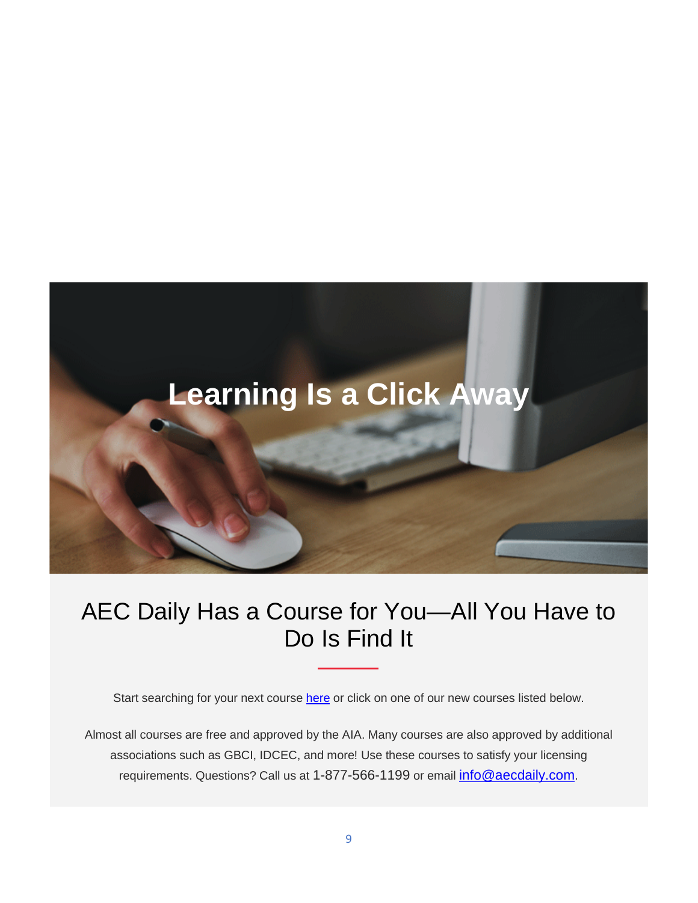

## AEC Daily Has a Course for You—All You Have to Do Is Find It

Start searching for your next course [here](https://linkprotect.cudasvc.com/url?a=https%3a%2f%2faecdai.ly%2fnl20190314&c=E,1,rIRppR7XX7yaPhl7sbyDPtYJO3puUHnz2SJvkK6CbsXcNaiLa4xYSyi91G_nghmAslSNAZgGtKAPwerEQaxCyv8xSgNJh1QcXxId_1fH9A,,&typo=1) or click on one of our new courses listed below.

Almost all courses are free and approved by the AIA. Many courses are also approved by additional associations such as GBCI, IDCEC, and more! Use these courses to satisfy your licensing requirements. Questions? Call us at 1-877-566-1199 or email [info@aecdaily.com.](mailto:info@aecdaily.com)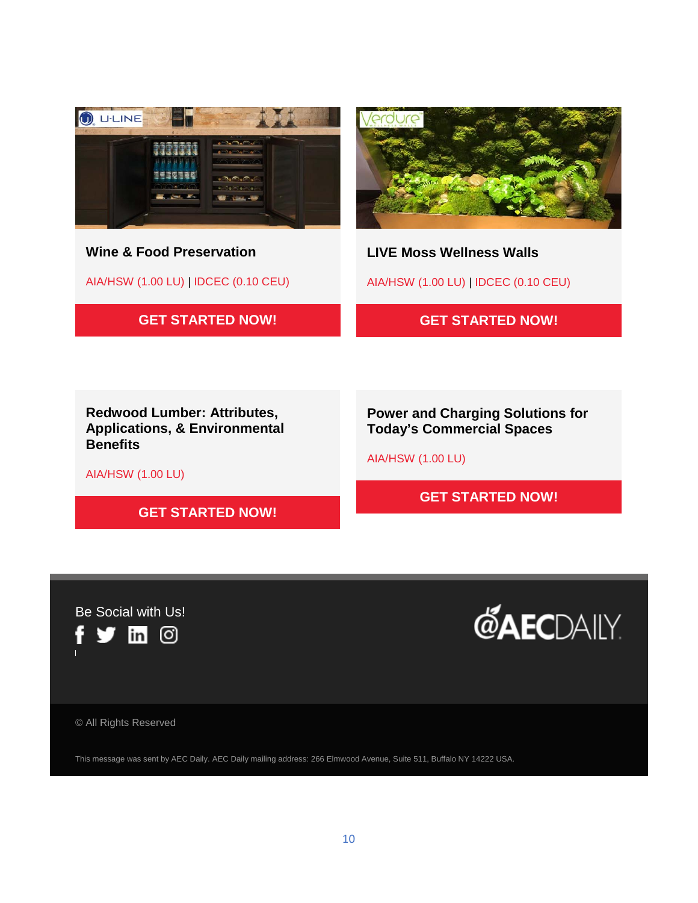

**Wine & Food Preservation** 

AIA/HSW (1.00 LU) | IDCEC (0.10 CEU)





**LIVE Moss Wellness Walls** 

AIA/HSW (1.00 LU) | IDCEC (0.10 CEU)

**[GET STARTED NOW!](https://linkprotect.cudasvc.com/url?a=https%3a%2f%2faecdai.ly%2f20190314_cd_1977606&c=E,1,_GiZzggYCuYPAC9LF0Y51wDMG39e3R9lGuzCyM4DFD8sd88Z79vnOY0K7IdTWf2kknz9I7n9FPWfUXOjEr7E-1F4xup2adqXhyrBSZ6VgUIwf5JobeX2UK_V&typo=1)**

**Redwood Lumber: Attributes, Applications, & Environmental Benefits** 

**Power and Charging Solutions for Today's Commercial Spaces** 

AIA/HSW (1.00 LU)

**[GET STARTED NOW!](https://linkprotect.cudasvc.com/url?a=https%3a%2f%2faecdai.ly%2f20190314_cd_1977101&c=E,1,MgwD2r1x1YI2XE1bU0VAVkI0PWxaF3XEfADq6rm2qRC6BOFXHK94vrkRVXHfPEP2g7utVls23U00DKnyviWWBLazVd3v5PZllUNRzxUvXkd-HLPQTODKCFGed9Wi&typo=1)**

AIA/HSW (1.00 LU)

**[GET STARTED NOW!](https://linkprotect.cudasvc.com/url?a=https%3a%2f%2faecdai.ly%2f20190314_cd_1977371&c=E,1,pBTbKIxkngyg3AtqM7u9DM5oMo6XL5R1s-p4EdirXGy9OBXUiw4wda0KxM5Nre-DoKRKygx-q68AsCx70Br5ztgNqZ1BK85ygbA-IcRLeLsNBl8OvLSxkwixHw,,&typo=1)**



**@AECDAILY** 

© All Rights Reserved

This message was sent by AEC Daily. AEC Daily mailing address: 266 Elmwood Avenue, Suite 511, Buffalo NY 14222 USA.